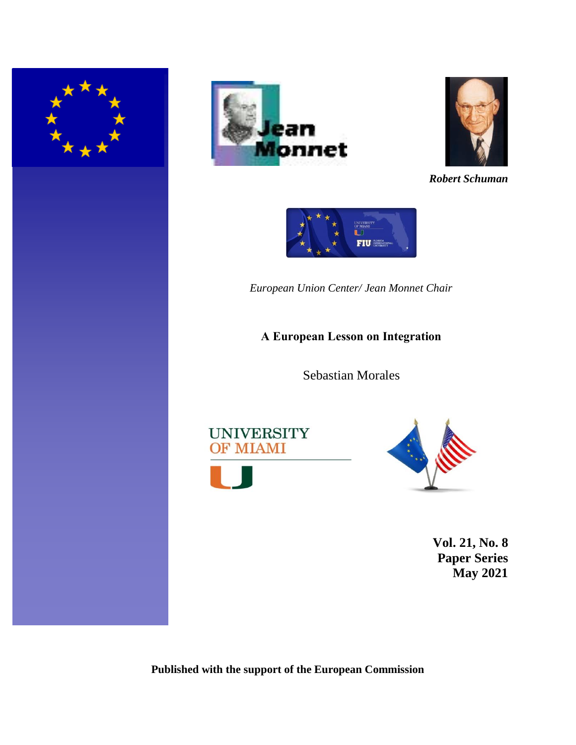





*Robert Schuman*



*European Union Center/ Jean Monnet Chair*

# **A European Lesson on Integration**

Sebastian Morales





**Vol. 21, No. 8 Paper Series May 2021**

**Published with the support of the European Commission**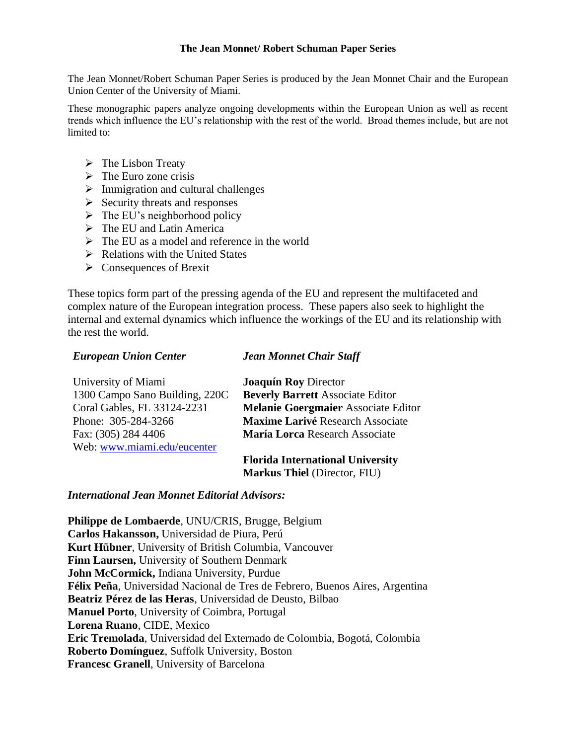### **The Jean Monnet/ Robert Schuman Paper Series**

The Jean Monnet/Robert Schuman Paper Series is produced by the Jean Monnet Chair and the European Union Center of the University of Miami.

These monographic papers analyze ongoing developments within the European Union as well as recent trends which influence the EU's relationship with the rest of the world. Broad themes include, but are not limited to:

- $\triangleright$  The Lisbon Treaty
- $\triangleright$  The Euro zone crisis
- $\triangleright$  Immigration and cultural challenges
- $\triangleright$  Security threats and responses
- $\triangleright$  The EU's neighborhood policy
- ➢ The EU and Latin America
- $\triangleright$  The EU as a model and reference in the world
- $\triangleright$  Relations with the United States
- ➢ Consequences of Brexit

These topics form part of the pressing agenda of the EU and represent the multifaceted and complex nature of the European integration process. These papers also seek to highlight the internal and external dynamics which influence the workings of the EU and its relationship with the rest the world.

## *European Union Center*

### *Jean Monnet Chair Staff*

| University of Miami            | <b>Joaquín Roy Director</b>             |
|--------------------------------|-----------------------------------------|
| 1300 Campo Sano Building, 220C | <b>Beverly Barrett Associate Editor</b> |
| Coral Gables, FL 33124-2231    | Melanie Goergmaier Associate Editor     |
| Phone: 305-284-3266            | <b>Maxime Larivé Research Associate</b> |
| Fax: (305) 284 4406            | María Lorca Research Associate          |
| Web: www.miami.edu/eucenter    |                                         |
|                                | Florida International University        |

**Florida International University Markus Thiel** (Director, FIU)

## *International Jean Monnet Editorial Advisors:*

**Philippe de Lombaerde**, UNU/CRIS, Brugge, Belgium **Carlos Hakansson,** Universidad de Piura, Perú **Kurt Hübner**, University of British Columbia, Vancouver **Finn Laursen,** University of Southern Denmark **John McCormick,** Indiana University, Purdue **Félix Peña**, Universidad Nacional de Tres de Febrero, Buenos Aires, Argentina **Beatriz Pérez de las Heras**, Universidad de Deusto, Bilbao **Manuel Porto**, University of Coimbra, Portugal **Lorena Ruano**, CIDE, Mexico **Eric Tremolada**, Universidad del Externado de Colombia, Bogotá, Colombia **Roberto Domínguez**, Suffolk University, Boston **Francesc Granell**, University of Barcelona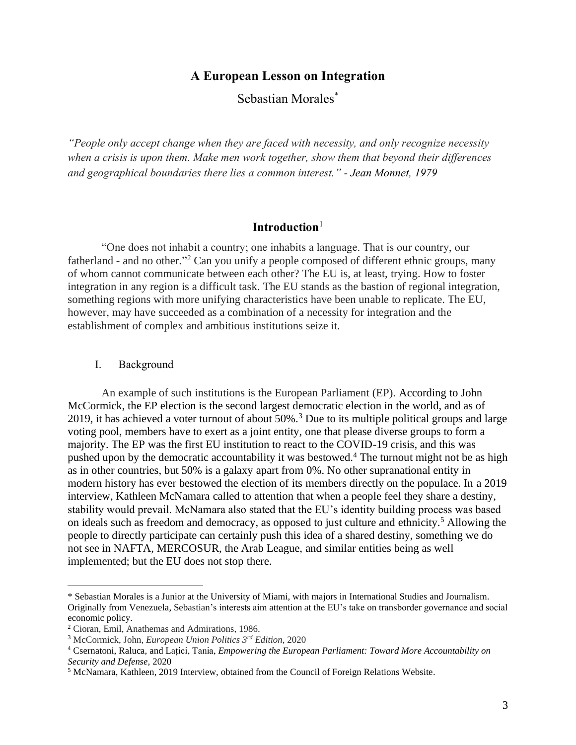# **A European Lesson on Integration**

Sebastian Morales\*

*"People only accept change when they are faced with necessity, and only recognize necessity when a crisis is upon them. Make men work together, show them that beyond their differences and geographical boundaries there lies a common interest." - Jean Monnet, 1979* 

# **Introduction**<sup>1</sup>

"One does not inhabit a country; one inhabits a language. That is our country, our fatherland - and no other."<sup>2</sup> Can you unify a people composed of different ethnic groups, many of whom cannot communicate between each other? The EU is, at least, trying. How to foster integration in any region is a difficult task. The EU stands as the bastion of regional integration, something regions with more unifying characteristics have been unable to replicate. The EU, however, may have succeeded as a combination of a necessity for integration and the establishment of complex and ambitious institutions seize it.

### I. Background

An example of such institutions is the European Parliament (EP). According to John McCormick, the EP election is the second largest democratic election in the world, and as of 2019, it has achieved a voter turnout of about 50%.<sup>3</sup> Due to its multiple political groups and large voting pool, members have to exert as a joint entity, one that please diverse groups to form a majority. The EP was the first EU institution to react to the COVID-19 crisis, and this was pushed upon by the democratic accountability it was bestowed.<sup>4</sup> The turnout might not be as high as in other countries, but 50% is a galaxy apart from 0%. No other supranational entity in modern history has ever bestowed the election of its members directly on the populace. In a 2019 interview, Kathleen McNamara called to attention that when a people feel they share a destiny, stability would prevail. McNamara also stated that the EU's identity building process was based on ideals such as freedom and democracy, as opposed to just culture and ethnicity.<sup>5</sup> Allowing the people to directly participate can certainly push this idea of a shared destiny, something we do not see in NAFTA, MERCOSUR, the Arab League, and similar entities being as well implemented; but the EU does not stop there.

<sup>\*</sup> Sebastian Morales is a Junior at the University of Miami, with majors in International Studies and Journalism. Originally from Venezuela, Sebastian's interests aim attention at the EU's take on transborder governance and social economic policy.

<sup>2</sup> Cioran, Emil, Anathemas and Admirations, 1986.

<sup>3</sup> McCormick, John, *European Union Politics 3rd Edition*, 2020

<sup>4</sup> Csernatoni, Raluca, and Lațici, Tania, *Empowering the European Parliament: Toward More Accountability on Security and Defense,* 2020

<sup>5</sup> McNamara, Kathleen, 2019 Interview, obtained from the Council of Foreign Relations Website.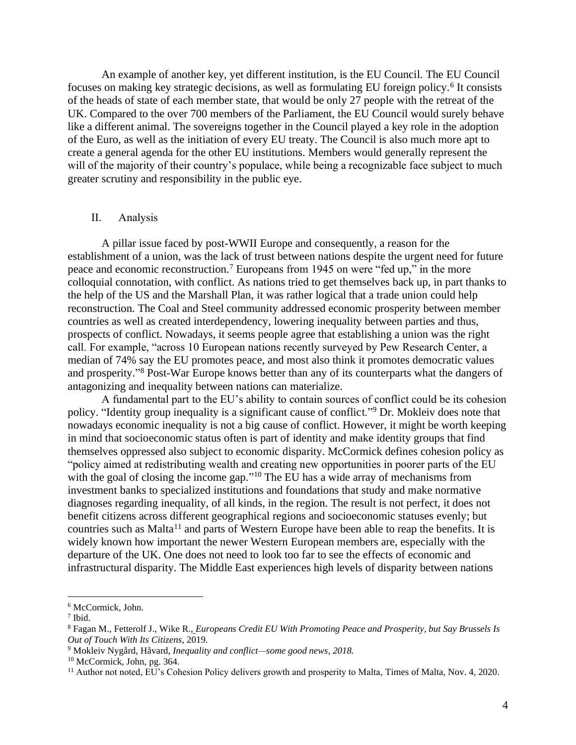An example of another key, yet different institution, is the EU Council. The EU Council focuses on making key strategic decisions, as well as formulating EU foreign policy.<sup>6</sup> It consists of the heads of state of each member state, that would be only 27 people with the retreat of the UK. Compared to the over 700 members of the Parliament, the EU Council would surely behave like a different animal. The sovereigns together in the Council played a key role in the adoption of the Euro, as well as the initiation of every EU treaty. The Council is also much more apt to create a general agenda for the other EU institutions. Members would generally represent the will of the majority of their country's populace, while being a recognizable face subject to much greater scrutiny and responsibility in the public eye.

### II. Analysis

A pillar issue faced by post-WWII Europe and consequently, a reason for the establishment of a union, was the lack of trust between nations despite the urgent need for future peace and economic reconstruction.<sup>7</sup> Europeans from 1945 on were "fed up," in the more colloquial connotation, with conflict. As nations tried to get themselves back up, in part thanks to the help of the US and the Marshall Plan, it was rather logical that a trade union could help reconstruction. The Coal and Steel community addressed economic prosperity between member countries as well as created interdependency, lowering inequality between parties and thus, prospects of conflict. Nowadays, it seems people agree that establishing a union was the right call. For example, "across 10 European nations recently surveyed by Pew Research Center, a median of 74% say the EU promotes peace, and most also think it promotes democratic values and prosperity." <sup>8</sup> Post-War Europe knows better than any of its counterparts what the dangers of antagonizing and inequality between nations can materialize.

A fundamental part to the EU's ability to contain sources of conflict could be its cohesion policy. "Identity group inequality is a significant cause of conflict."<sup>9</sup> Dr. Mokleiv does note that nowadays economic inequality is not a big cause of conflict. However, it might be worth keeping in mind that socioeconomic status often is part of identity and make identity groups that find themselves oppressed also subject to economic disparity. McCormick defines cohesion policy as "policy aimed at redistributing wealth and creating new opportunities in poorer parts of the EU with the goal of closing the income gap."<sup>10</sup> The EU has a wide array of mechanisms from investment banks to specialized institutions and foundations that study and make normative diagnoses regarding inequality, of all kinds, in the region. The result is not perfect, it does not benefit citizens across different geographical regions and socioeconomic statuses evenly; but countries such as Malta<sup>11</sup> and parts of Western Europe have been able to reap the benefits. It is widely known how important the newer Western European members are, especially with the departure of the UK. One does not need to look too far to see the effects of economic and infrastructural disparity. The Middle East experiences high levels of disparity between nations

<sup>6</sup> McCormick, John.

<sup>7</sup> Ibid.

<sup>8</sup> Fagan M., Fetterolf J., Wike R., *Europeans Credit EU With Promoting Peace and Prosperity, but Say Brussels Is Out of Touch With Its Citizens*, 2019.

<sup>9</sup> Mokleiv Nygård, Håvard, *Inequality and conflict—some good news, 2018.*

<sup>10</sup> McCormick, John, pg. 364.

<sup>&</sup>lt;sup>11</sup> Author not noted, EU's Cohesion Policy delivers growth and prosperity to Malta, Times of Malta, Nov. 4, 2020.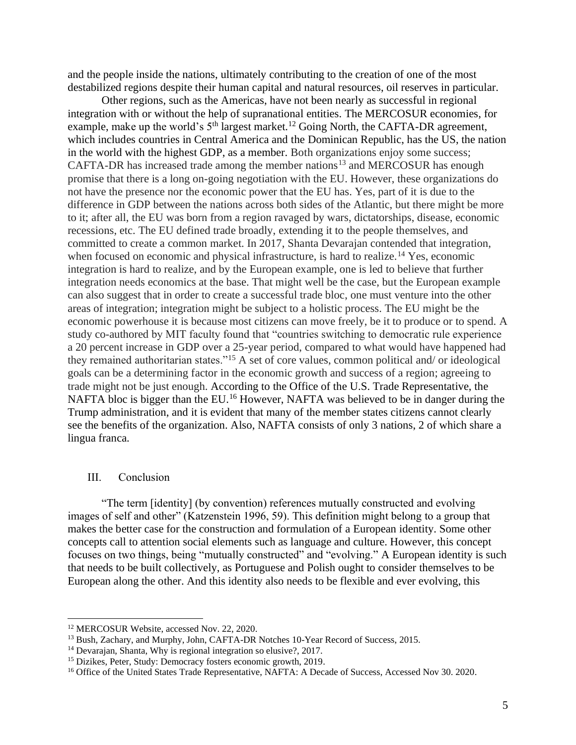and the people inside the nations, ultimately contributing to the creation of one of the most destabilized regions despite their human capital and natural resources, oil reserves in particular.

Other regions, such as the Americas, have not been nearly as successful in regional integration with or without the help of supranational entities. The MERCOSUR economies, for example, make up the world's  $5<sup>th</sup>$  largest market.<sup>12</sup> Going North, the CAFTA-DR agreement, which includes countries in Central America and the Dominican Republic, has the US, the nation in the world with the highest GDP, as a member. Both organizations enjoy some success; CAFTA-DR has increased trade among the member nations<sup>13</sup> and MERCOSUR has enough promise that there is a long on-going negotiation with the EU. However, these organizations do not have the presence nor the economic power that the EU has. Yes, part of it is due to the difference in GDP between the nations across both sides of the Atlantic, but there might be more to it; after all, the EU was born from a region ravaged by wars, dictatorships, disease, economic recessions, etc. The EU defined trade broadly, extending it to the people themselves, and committed to create a common market. In 2017, Shanta Devarajan contended that integration, when focused on economic and physical infrastructure, is hard to realize.<sup>14</sup> Yes, economic integration is hard to realize, and by the European example, one is led to believe that further integration needs economics at the base. That might well be the case, but the European example can also suggest that in order to create a successful trade bloc, one must venture into the other areas of integration; integration might be subject to a holistic process. The EU might be the economic powerhouse it is because most citizens can move freely, be it to produce or to spend. A study co-authored by MIT faculty found that "countries switching to democratic rule experience a 20 percent increase in GDP over a 25-year period, compared to what would have happened had they remained authoritarian states."<sup>15</sup> A set of core values, common political and/ or ideological goals can be a determining factor in the economic growth and success of a region; agreeing to trade might not be just enough. According to the Office of the U.S. Trade Representative, the NAFTA bloc is bigger than the EU.<sup>16</sup> However, NAFTA was believed to be in danger during the Trump administration, and it is evident that many of the member states citizens cannot clearly see the benefits of the organization. Also, NAFTA consists of only 3 nations, 2 of which share a lingua franca.

#### III. Conclusion

"The term [identity] (by convention) references mutually constructed and evolving images of self and other" (Katzenstein 1996, 59). This definition might belong to a group that makes the better case for the construction and formulation of a European identity. Some other concepts call to attention social elements such as language and culture. However, this concept focuses on two things, being "mutually constructed" and "evolving." A European identity is such that needs to be built collectively, as Portuguese and Polish ought to consider themselves to be European along the other. And this identity also needs to be flexible and ever evolving, this

<sup>12</sup> MERCOSUR Website, accessed Nov. 22, 2020.

<sup>&</sup>lt;sup>13</sup> Bush, Zachary, and Murphy, John, CAFTA-DR Notches 10-Year Record of Success, 2015.

<sup>14</sup> Devarajan, Shanta, Why is regional integration so elusive?, 2017.

<sup>15</sup> Dizikes, Peter, Study: Democracy fosters economic growth, 2019.

<sup>&</sup>lt;sup>16</sup> Office of the United States Trade Representative, NAFTA: A Decade of Success, Accessed Nov 30. 2020.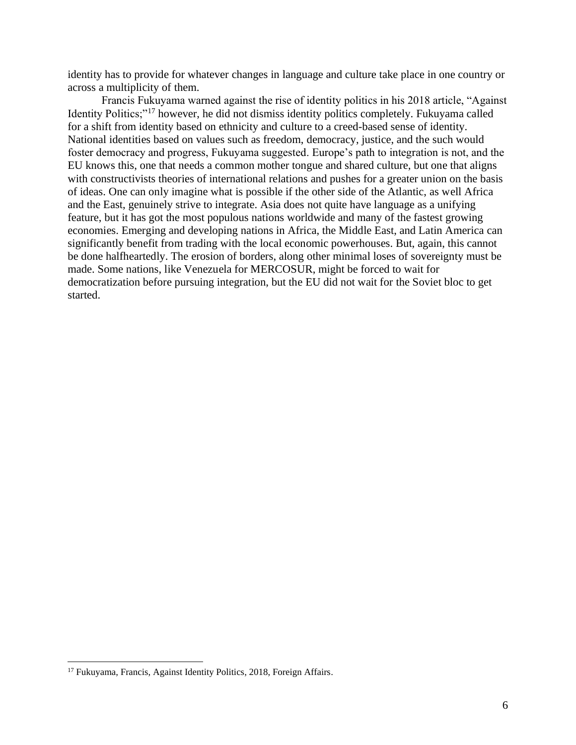identity has to provide for whatever changes in language and culture take place in one country or across a multiplicity of them.

Francis Fukuyama warned against the rise of identity politics in his 2018 article, "Against Identity Politics;"<sup>17</sup> however, he did not dismiss identity politics completely. Fukuyama called for a shift from identity based on ethnicity and culture to a creed-based sense of identity. National identities based on values such as freedom, democracy, justice, and the such would foster democracy and progress, Fukuyama suggested. Europe's path to integration is not, and the EU knows this, one that needs a common mother tongue and shared culture, but one that aligns with constructivists theories of international relations and pushes for a greater union on the basis of ideas. One can only imagine what is possible if the other side of the Atlantic, as well Africa and the East, genuinely strive to integrate. Asia does not quite have language as a unifying feature, but it has got the most populous nations worldwide and many of the fastest growing economies. Emerging and developing nations in Africa, the Middle East, and Latin America can significantly benefit from trading with the local economic powerhouses. But, again, this cannot be done halfheartedly. The erosion of borders, along other minimal loses of sovereignty must be made. Some nations, like Venezuela for MERCOSUR, might be forced to wait for democratization before pursuing integration, but the EU did not wait for the Soviet bloc to get started.

<sup>&</sup>lt;sup>17</sup> Fukuyama, Francis, Against Identity Politics, 2018, Foreign Affairs.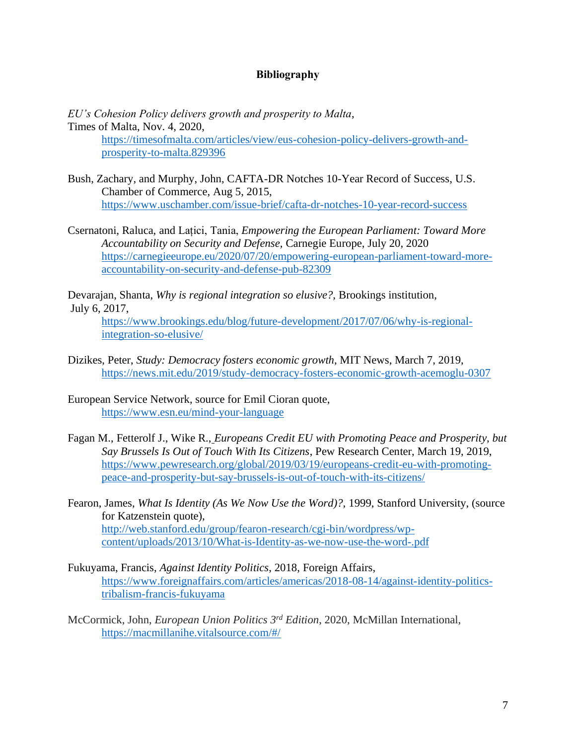## **Bibliography**

*EU's Cohesion Policy delivers growth and prosperity to Malta*, Times of Malta, Nov. 4, 2020, [https://timesofmalta.com/articles/view/eus-cohesion-policy-delivers-growth-and](https://timesofmalta.com/articles/view/eus-cohesion-policy-delivers-growth-and-prosperity-to-malta.829396)[prosperity-to-malta.829396](https://timesofmalta.com/articles/view/eus-cohesion-policy-delivers-growth-and-prosperity-to-malta.829396)

- Bush, Zachary, and Murphy, John, CAFTA-DR Notches 10-Year Record of Success, U.S. Chamber of Commerce, Aug 5, 2015, <https://www.uschamber.com/issue-brief/cafta-dr-notches-10-year-record-success>
- Csernatoni, Raluca, and Lațici, Tania, *Empowering the European Parliament: Toward More Accountability on Security and Defense,* Carnegie Europe, July 20, 2020 [https://carnegieeurope.eu/2020/07/20/empowering-european-parliament-toward-more](https://carnegieeurope.eu/2020/07/20/empowering-european-parliament-toward-more-accountability-on-security-and-defense-pub-82309)[accountability-on-security-and-defense-pub-82309](https://carnegieeurope.eu/2020/07/20/empowering-european-parliament-toward-more-accountability-on-security-and-defense-pub-82309)

[Devarajan,](https://www.brookings.edu/author/shanta-devarajan/) Shanta, *Why is regional integration so elusive?,* Brookings institution, July 6, 2017,

[https://www.brookings.edu/blog/future-development/2017/07/06/why-is-regional](https://www.brookings.edu/blog/future-development/2017/07/06/why-is-regional-integration-so-elusive/)[integration-so-elusive/](https://www.brookings.edu/blog/future-development/2017/07/06/why-is-regional-integration-so-elusive/)

- Dizikes, Peter, *Study: Democracy fosters economic growth*, MIT News, March 7, 2019, <https://news.mit.edu/2019/study-democracy-fosters-economic-growth-acemoglu-0307>
- European Service Network, source for Emil Cioran quote, <https://www.esn.eu/mind-your-language>
- Fagan M., Fetterolf J., Wike R., *Europeans Credit EU with Promoting Peace and Prosperity, but Say Brussels Is Out of Touch With Its Citizens*, Pew Research Center, March 19, 2019, [https://www.pewresearch.org/global/2019/03/19/europeans-credit-eu-with-promoting](https://www.pewresearch.org/global/2019/03/19/europeans-credit-eu-with-promoting-peace-and-prosperity-but-say-brussels-is-out-of-touch-with-its-citizens/)[peace-and-prosperity-but-say-brussels-is-out-of-touch-with-its-citizens/](https://www.pewresearch.org/global/2019/03/19/europeans-credit-eu-with-promoting-peace-and-prosperity-but-say-brussels-is-out-of-touch-with-its-citizens/)
- Fearon, James, *What Is Identity (As We Now Use the Word)?,* 1999, Stanford University, (source for Katzenstein quote), [http://web.stanford.edu/group/fearon-research/cgi-bin/wordpress/wp](http://web.stanford.edu/group/fearon-research/cgi-bin/wordpress/wp-content/uploads/2013/10/What-is-Identity-as-we-now-use-the-word-.pdf)[content/uploads/2013/10/What-is-Identity-as-we-now-use-the-word-.pdf](http://web.stanford.edu/group/fearon-research/cgi-bin/wordpress/wp-content/uploads/2013/10/What-is-Identity-as-we-now-use-the-word-.pdf)
- Fukuyama, Francis, *Against Identity Politics*, 2018, Foreign Affairs, [https://www.foreignaffairs.com/articles/americas/2018-08-14/against-identity-politics](https://www.foreignaffairs.com/articles/americas/2018-08-14/against-identity-politics-tribalism-francis-fukuyama)[tribalism-francis-fukuyama](https://www.foreignaffairs.com/articles/americas/2018-08-14/against-identity-politics-tribalism-francis-fukuyama)

McCormick, John, *European Union Politics 3rd Edition*, 2020, McMillan International, <https://macmillanihe.vitalsource.com/#/>